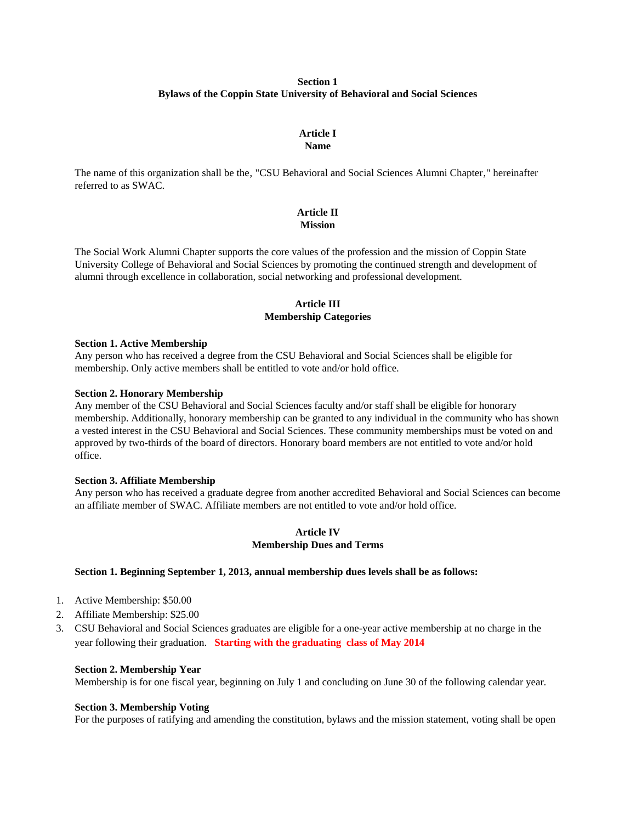# **Section 1 Bylaws of the Coppin State University of Behavioral and Social Sciences**

#### **Article I Name**

The name of this organization shall be the, "CSU Behavioral and Social Sciences Alumni Chapter," hereinafter referred to as SWAC.

# **Article II Mission**

The Social Work Alumni Chapter supports the core values of the profession and the mission of Coppin State University College of Behavioral and Social Sciences by promoting the continued strength and development of alumni through excellence in collaboration, social networking and professional development.

# **Article III Membership Categories**

### **Section 1. Active Membership**

Any person who has received a degree from the CSU Behavioral and Social Sciences shall be eligible for membership. Only active members shall be entitled to vote and/or hold office.

# **Section 2. Honorary Membership**

Any member of the CSU Behavioral and Social Sciences faculty and/or staff shall be eligible for honorary membership. Additionally, honorary membership can be granted to any individual in the community who has shown a vested interest in the CSU Behavioral and Social Sciences. These community memberships must be voted on and approved by two-thirds of the board of directors. Honorary board members are not entitled to vote and/or hold office.

### **Section 3. Affiliate Membership**

Any person who has received a graduate degree from another accredited Behavioral and Social Sciences can become an affiliate member of SWAC. Affiliate members are not entitled to vote and/or hold office.

# **Article IV Membership Dues and Terms**

# **Section 1. Beginning September 1, 2013, annual membership dues levels shall be as follows:**

- 1. Active Membership: \$50.00
- 2. Affiliate Membership: \$25.00
- 3. CSU Behavioral and Social Sciences graduates are eligible for a one-year active membership at no charge in the year following their graduation. **Starting with the graduating class of May 2014**

### **Section 2. Membership Year**

Membership is for one fiscal year, beginning on July 1 and concluding on June 30 of the following calendar year.

### **Section 3. Membership Voting**

For the purposes of ratifying and amending the constitution, bylaws and the mission statement, voting shall be open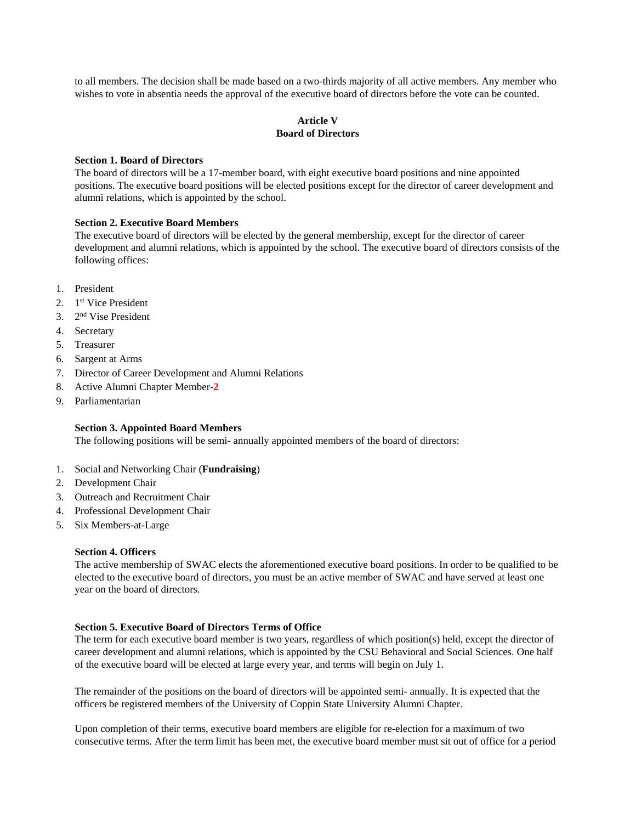to all members. The decision shall be made based on a two-thirds majority of all active members. Any member who wishes to vote in absentia needs the approval of the executive board of directors before the vote can be counted.

# **Article V Board of Directors**

### **Section 1. Board of Directors**

The board of directors will be a 17-member board, with eight executive board positions and nine appointed positions. The executive board positions will be elected positions except for the director of career development and alumni relations, which is appointed by the school.

# **Section 2. Executive Board Members**

The executive board of directors will be elected by the general membership, except for the director of career development and alumni relations, which is appointed by the school. The executive board of directors consists of the following offices:

- 1. President
- 2. 1st Vice President
- 3. 2nd Vise President
- 4. Secretary
- 5. Treasurer
- 6. Sargent at Arms
- 7. Director of Career Development and Alumni Relations
- 8. Active Alumni Chapter Member-**2**
- 9. Parliamentarian

# **Section 3. Appointed Board Members**

The following positions will be semi- annually appointed members of the board of directors:

- 1. Social and Networking Chair (**Fundraising**)
- 2. Development Chair
- 3. Outreach and Recruitment Chair
- 4. Professional Development Chair
- 5. Six Members-at-Large

#### **Section 4. Officers**

The active membership of SWAC elects the aforementioned executive board positions. In order to be qualified to be elected to the executive board of directors, you must be an active member of SWAC and have served at least one year on the board of directors.

### **Section 5. Executive Board of Directors Terms of Office**

The term for each executive board member is two years, regardless of which position(s) held, except the director of career development and alumni relations, which is appointed by the CSU Behavioral and Social Sciences. One half of the executive board will be elected at large every year, and terms will begin on July 1.

The remainder of the positions on the board of directors will be appointed semi- annually. It is expected that the officers be registered members of the University of Coppin State University Alumni Chapter.

Upon completion of their terms, executive board members are eligible for re-election for a maximum of two consecutive terms. After the term limit has been met, the executive board member must sit out of office for a period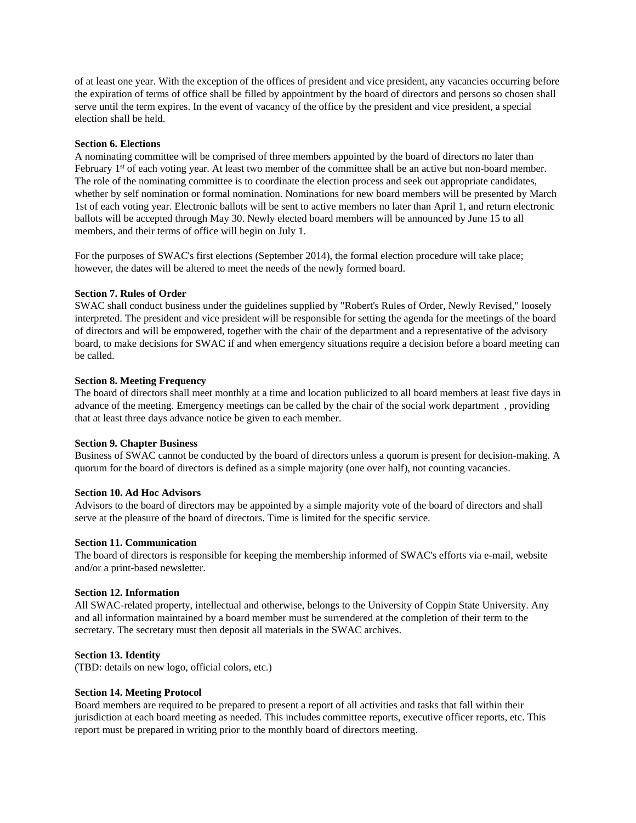of at least one year. With the exception of the offices of president and vice president, any vacancies occurring before the expiration of terms of office shall be filled by appointment by the board of directors and persons so chosen shall serve until the term expires. In the event of vacancy of the office by the president and vice president, a special election shall be held.

### **Section 6. Elections**

A nominating committee will be comprised of three members appointed by the board of directors no later than February 1<sup>st</sup> of each voting year. At least two member of the committee shall be an active but non-board member. The role of the nominating committee is to coordinate the election process and seek out appropriate candidates, whether by self nomination or formal nomination. Nominations for new board members will be presented by March 1st of each voting year. Electronic ballots will be sent to active members no later than April 1, and return electronic ballots will be accepted through May 30. Newly elected board members will be announced by June 15 to all members, and their terms of office will begin on July 1.

For the purposes of SWAC's first elections (September 2014), the formal election procedure will take place; however, the dates will be altered to meet the needs of the newly formed board.

# **Section 7. Rules of Order**

SWAC shall conduct business under the guidelines supplied by "Robert's Rules of Order, Newly Revised," loosely interpreted. The president and vice president will be responsible for setting the agenda for the meetings of the board of directors and will be empowered, together with the chair of the department and a representative of the advisory board, to make decisions for SWAC if and when emergency situations require a decision before a board meeting can be called.

# **Section 8. Meeting Frequency**

The board of directors shall meet monthly at a time and location publicized to all board members at least five days in advance of the meeting. Emergency meetings can be called by the chair of the social work department , providing that at least three days advance notice be given to each member.

### **Section 9. Chapter Business**

Business of SWAC cannot be conducted by the board of directors unless a quorum is present for decision-making. A quorum for the board of directors is defined as a simple majority (one over half), not counting vacancies.

### **Section 10. Ad Hoc Advisors**

Advisors to the board of directors may be appointed by a simple majority vote of the board of directors and shall serve at the pleasure of the board of directors. Time is limited for the specific service.

### **Section 11. Communication**

The board of directors is responsible for keeping the membership informed of SWAC's efforts via e-mail, website and/or a print-based newsletter.

### **Section 12. Information**

All SWAC-related property, intellectual and otherwise, belongs to the University of Coppin State University. Any and all information maintained by a board member must be surrendered at the completion of their term to the secretary. The secretary must then deposit all materials in the SWAC archives.

### **Section 13. Identity**

(TBD: details on new logo, official colors, etc.)

### **Section 14. Meeting Protocol**

Board members are required to be prepared to present a report of all activities and tasks that fall within their jurisdiction at each board meeting as needed. This includes committee reports, executive officer reports, etc. This report must be prepared in writing prior to the monthly board of directors meeting.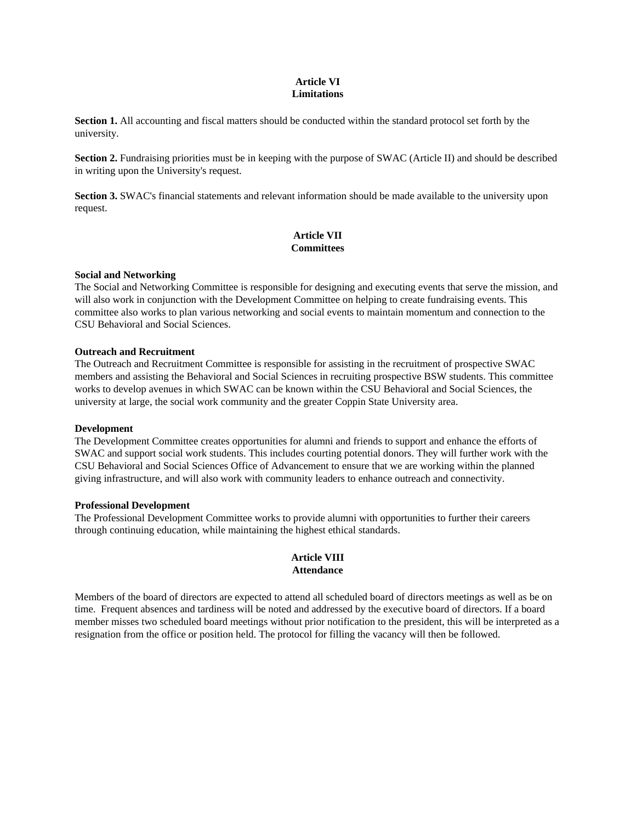# **Article VI Limitations**

**Section 1.** All accounting and fiscal matters should be conducted within the standard protocol set forth by the university.

**Section 2.** Fundraising priorities must be in keeping with the purpose of SWAC (Article II) and should be described in writing upon the University's request.

**Section 3.** SWAC's financial statements and relevant information should be made available to the university upon request.

# **Article VII Committees**

# **Social and Networking**

The Social and Networking Committee is responsible for designing and executing events that serve the mission, and will also work in conjunction with the Development Committee on helping to create fundraising events. This committee also works to plan various networking and social events to maintain momentum and connection to the CSU Behavioral and Social Sciences.

# **Outreach and Recruitment**

The Outreach and Recruitment Committee is responsible for assisting in the recruitment of prospective SWAC members and assisting the Behavioral and Social Sciences in recruiting prospective BSW students. This committee works to develop avenues in which SWAC can be known within the CSU Behavioral and Social Sciences, the university at large, the social work community and the greater Coppin State University area.

# **Development**

The Development Committee creates opportunities for alumni and friends to support and enhance the efforts of SWAC and support social work students. This includes courting potential donors. They will further work with the CSU Behavioral and Social Sciences Office of Advancement to ensure that we are working within the planned giving infrastructure, and will also work with community leaders to enhance outreach and connectivity.

### **Professional Development**

The Professional Development Committee works to provide alumni with opportunities to further their careers through continuing education, while maintaining the highest ethical standards.

# **Article VIII Attendance**

Members of the board of directors are expected to attend all scheduled board of directors meetings as well as be on time. Frequent absences and tardiness will be noted and addressed by the executive board of directors. If a board member misses two scheduled board meetings without prior notification to the president, this will be interpreted as a resignation from the office or position held. The protocol for filling the vacancy will then be followed.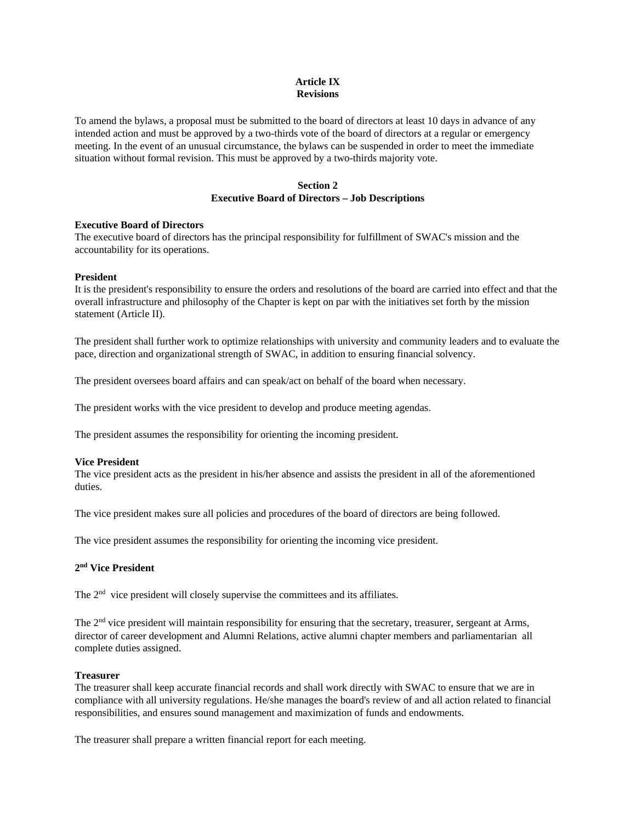# **Article IX Revisions**

To amend the bylaws, a proposal must be submitted to the board of directors at least 10 days in advance of any intended action and must be approved by a two-thirds vote of the board of directors at a regular or emergency meeting. In the event of an unusual circumstance, the bylaws can be suspended in order to meet the immediate situation without formal revision. This must be approved by a two-thirds majority vote.

# **Section 2 Executive Board of Directors – Job Descriptions**

### **Executive Board of Directors**

The executive board of directors has the principal responsibility for fulfillment of SWAC's mission and the accountability for its operations.

#### **President**

It is the president's responsibility to ensure the orders and resolutions of the board are carried into effect and that the overall infrastructure and philosophy of the Chapter is kept on par with the initiatives set forth by the mission statement (Article II).

The president shall further work to optimize relationships with university and community leaders and to evaluate the pace, direction and organizational strength of SWAC, in addition to ensuring financial solvency.

The president oversees board affairs and can speak/act on behalf of the board when necessary.

The president works with the vice president to develop and produce meeting agendas.

The president assumes the responsibility for orienting the incoming president.

#### **Vice President**

The vice president acts as the president in his/her absence and assists the president in all of the aforementioned duties.

The vice president makes sure all policies and procedures of the board of directors are being followed.

The vice president assumes the responsibility for orienting the incoming vice president.

#### **2nd Vice President**

The 2<sup>nd</sup> vice president will closely supervise the committees and its affiliates.

The  $2<sup>nd</sup>$  vice president will maintain responsibility for ensuring that the secretary, treasurer, sergeant at Arms, director of career development and Alumni Relations, active alumni chapter members and parliamentarian all complete duties assigned.

#### **Treasurer**

The treasurer shall keep accurate financial records and shall work directly with SWAC to ensure that we are in compliance with all university regulations. He/she manages the board's review of and all action related to financial responsibilities, and ensures sound management and maximization of funds and endowments.

The treasurer shall prepare a written financial report for each meeting.